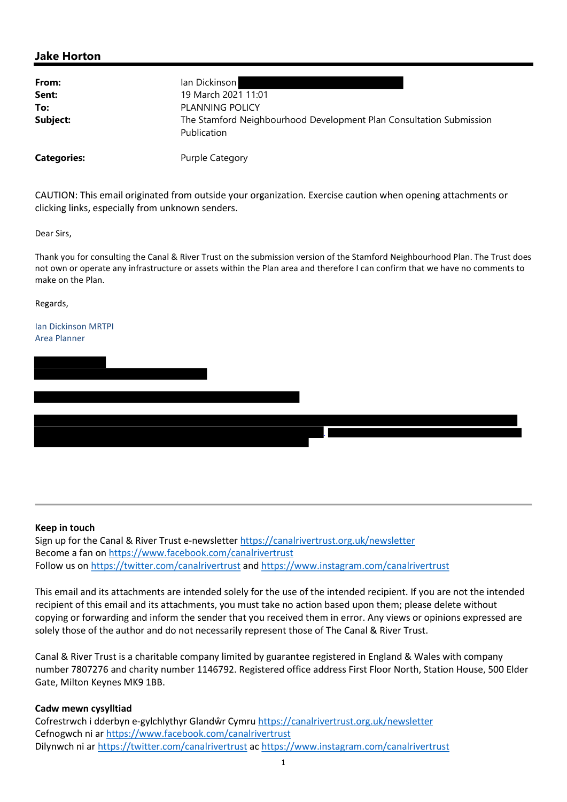## Jake Horton

| From:    | lan Dickinson                                                                      |
|----------|------------------------------------------------------------------------------------|
| Sent:    | 19 March 2021 11:01                                                                |
| To:      | PLANNING POLICY                                                                    |
| Subject: | The Stamford Neighbourhood Development Plan Consultation Submission<br>Publication |
|          |                                                                                    |

Categories: Purple Category

CAUTION: This email originated from outside your organization. Exercise caution when opening attachments or clicking links, especially from unknown senders.

Dear Sirs,

Thank you for consulting the Canal & River Trust on the submission version of the Stamford Neighbourhood Plan. The Trust does not own or operate any infrastructure or assets within the Plan area and therefore I can confirm that we have no comments to make on the Plan.

j.

Regards,

Ian Dickinson MRTPI Area Planner

## Keep in touch

Sign up for the Canal & River Trust e-newsletter https://canalrivertrust.org.uk/newsletter Become a fan on https://www.facebook.com/canalrivertrust Follow us on https://twitter.com/canalrivertrust and https://www.instagram.com/canalrivertrust

This email and its attachments are intended solely for the use of the intended recipient. If you are not the intended recipient of this email and its attachments, you must take no action based upon them; please delete without copying or forwarding and inform the sender that you received them in error. Any views or opinions expressed are solely those of the author and do not necessarily represent those of The Canal & River Trust.

Canal & River Trust is a charitable company limited by guarantee registered in England & Wales with company number 7807276 and charity number 1146792. Registered office address First Floor North, Station House, 500 Elder Gate, Milton Keynes MK9 1BB.

## Cadw mewn cysylltiad

Cofrestrwch i dderbyn e-gylchlythyr Glandŵr Cymru https://canalrivertrust.org.uk/newsletter Cefnogwch ni ar https://www.facebook.com/canalrivertrust Dilynwch ni ar https://twitter.com/canalrivertrust ac https://www.instagram.com/canalrivertrust